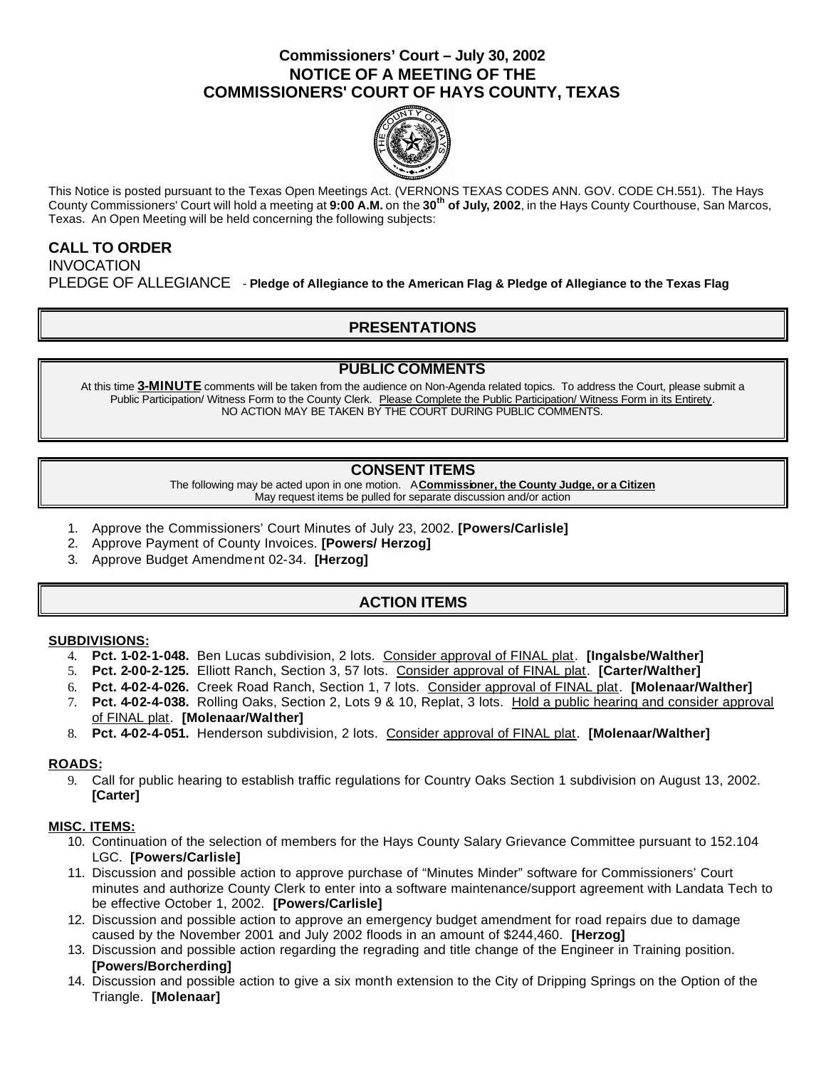# **Commissioners' Court – July 30, 2002 NOTICE OF A MEETING OF THE COMMISSIONERS' COURT OF HAYS COUNTY, TEXAS**



This Notice is posted pursuant to the Texas Open Meetings Act. (VERNONS TEXAS CODES ANN. GOV. CODE CH.551). The Hays County Commissioners' Court will hold a meeting at **9:00 A.M.** on the **30th of July, 2002**, in the Hays County Courthouse, San Marcos, Texas. An Open Meeting will be held concerning the following subjects:

# **CALL TO ORDER INVOCATION** PLEDGE OF ALLEGIANCE - **Pledge of Allegiance to the American Flag & Pledge of Allegiance to the Texas Flag**

# **PRESENTATIONS**

### **PUBLIC COMMENTS**

At this time **3-MINUTE** comments will be taken from the audience on Non-Agenda related topics. To address the Court, please submit a Public Participation/ Witness Form to the County Clerk. Please Complete the Public Participation/ Witness Form in its Entirety. NO ACTION MAY BE TAKEN BY THE COURT DURING PUBLIC COMMENTS.

### **CONSENT ITEMS**

The following may be acted upon in one motion. A **Commissioner, the County Judge, or a Citizen** May request items be pulled for separate discussion and/or action

- 1. Approve the Commissioners' Court Minutes of July 23, 2002. **[Powers/Carlisle]**
- 2. Approve Payment of County Invoices. **[Powers/ Herzog]**
- 3. Approve Budget Amendment 02-34. **[Herzog]**

# **ACTION ITEMS**

#### **SUBDIVISIONS:**

- 4. **Pct. 1-02-1-048.** Ben Lucas subdivision, 2 lots. Consider approval of FINAL plat. **[Ingalsbe/Walther]**
- 5. **Pct. 2-00-2-125.** Elliott Ranch, Section 3, 57 lots. Consider approval of FINAL plat. **[Carter/Walther]**
- 6. **Pct. 4-02-4-026.** Creek Road Ranch, Section 1, 7 lots. Consider approval of FINAL plat. **[Molenaar/Walther]**
- 7. **Pct. 4-02-4-038.** Rolling Oaks, Section 2, Lots 9 & 10, Replat, 3 lots. Hold a public hearing and consider approval of FINAL plat. **[Molenaar/Walther]**
- 8. **Pct. 4-02-4-051.** Henderson subdivision, 2 lots. Consider approval of FINAL plat. **[Molenaar/Walther]**

#### **ROADS:**

9. Call for public hearing to establish traffic regulations for Country Oaks Section 1 subdivision on August 13, 2002. **[Carter]**

#### **MISC. ITEMS:**

- 10. Continuation of the selection of members for the Hays County Salary Grievance Committee pursuant to 152.104 LGC. **[Powers/Carlisle]**
- 11. Discussion and possible action to approve purchase of "Minutes Minder" software for Commissioners' Court minutes and authorize County Clerk to enter into a software maintenance/support agreement with Landata Tech to be effective October 1, 2002. **[Powers/Carlisle]**
- 12. Discussion and possible action to approve an emergency budget amendment for road repairs due to damage caused by the November 2001 and July 2002 floods in an amount of \$244,460. **[Herzog]**
- 13. Discussion and possible action regarding the regrading and title change of the Engineer in Training position. **[Powers/Borcherding]**
- 14. Discussion and possible action to give a six month extension to the City of Dripping Springs on the Option of the Triangle. **[Molenaar]**